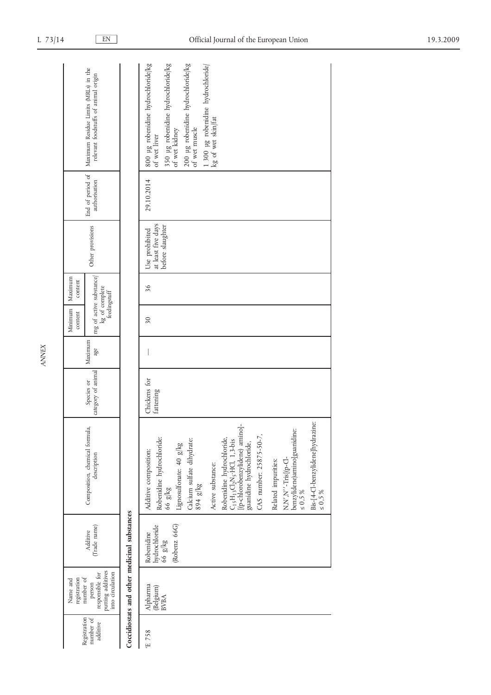| Maximum Residue Limits (MRLs) in the<br>relevant foodstuffs of animal origin                                    |                                              | 350 µg robenidine hydrochloride/kg<br>of wet kidney<br>800 µg robenidine hydrochloride/kg<br>200 µg robenidine hydrochloride/kg<br>1 300 µg robenidine hydrochloride/<br>kg of wet skin/fat<br>of wet muscle<br>of wet liver                                             |
|-----------------------------------------------------------------------------------------------------------------|----------------------------------------------|--------------------------------------------------------------------------------------------------------------------------------------------------------------------------------------------------------------------------------------------------------------------------|
| End of period of<br>authorisation                                                                               |                                              | 29.10.2014                                                                                                                                                                                                                                                               |
| Other provisions                                                                                                |                                              | at least five days<br>before slaughter<br>Use prohibited                                                                                                                                                                                                                 |
| mg of active substance<br>Maximum<br>content<br>kg of complete<br>$\operatorname{feeding}\operatorname{striff}$ |                                              | 36                                                                                                                                                                                                                                                                       |
| Minimum<br>content                                                                                              |                                              | 30                                                                                                                                                                                                                                                                       |
| Maximum<br>age                                                                                                  |                                              |                                                                                                                                                                                                                                                                          |
| category of animal<br>Species or                                                                                |                                              | Chickens for<br>fattening                                                                                                                                                                                                                                                |
| Composition, chemical formula,<br>description                                                                   |                                              | Bis-[4-Cl-benzylidene]hydrazine:<br>$C_1$ s<br>H $_1$ s $C_2$ Ns $_3$ :<br>HCl, 1, 3-bis [(p-chlorobenzylidene) amino]-guanidine hydrochloride,<br>benzylidene)amino]guanidine:<br>CAS number: 25875-50-7,<br>Robenidine hydrochloride:<br>Robenidine hydrochloride,<br> |
| (Trade name)<br>Additive                                                                                        | Coccidiostats and other medicinal substances | (Robenz 66G)<br>hydrochloride<br>Robenidine<br>$66$ $g/kg$                                                                                                                                                                                                               |
| putting additives<br>into circulation<br>responsible for<br>number of<br>registration<br>Name and<br>person     |                                              | Alpharma<br>(Belgium)<br><b>BVBA</b>                                                                                                                                                                                                                                     |
| Registration<br>number of<br>additive                                                                           |                                              | £758                                                                                                                                                                                                                                                                     |

*ANNEX*

 $\overline{\phantom{a}}$